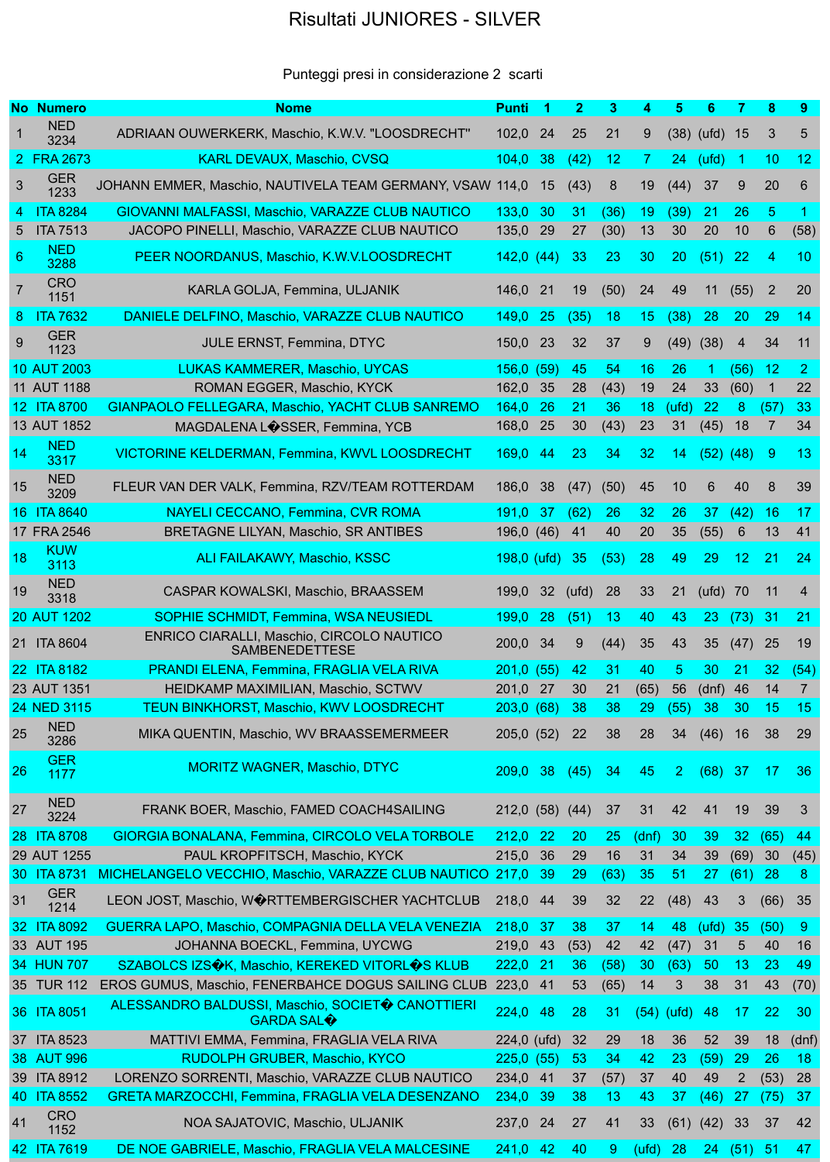## Risultati JUNIORES - SILVER

## Punteggi presi in considerazione 2 scarti

|                | <b>No Numero</b>                 | <b>Nome</b>                                                                                            | <b>Punti</b>    | -1       | $\mathbf{2}$ | 3          | 4            | 5              | 6              | 7              | 8              | 9              |
|----------------|----------------------------------|--------------------------------------------------------------------------------------------------------|-----------------|----------|--------------|------------|--------------|----------------|----------------|----------------|----------------|----------------|
|                | <b>NED</b><br>3234               | ADRIAAN OUWERKERK, Maschio, K.W.V. "LOOSDRECHT"                                                        | 102,0           | 24       | 25           | 21         | 9            |                | $(38)$ (ufd)   | 15             | 3              | 5              |
|                | 2 FRA 2673                       | <b>KARL DEVAUX, Maschio, CVSQ</b>                                                                      | 104,0           | 38       | (42)         | 12         | $\mathbf{7}$ | 24             | (ufd)          | -1             | 10             | 12             |
| 3              | <b>GER</b><br>1233               | JOHANN EMMER, Maschio, NAUTIVELA TEAM GERMANY, VSAW 114,0                                              |                 | 15       | (43)         | 8          | 19           | (44)           | 37             | 9              | 20             | 6              |
| $\overline{4}$ | <b>ITA 8284</b>                  | GIOVANNI MALFASSI, Maschio, VARAZZE CLUB NAUTICO                                                       | 133,0           | 30       | 31           | (36)       | 19           | (39)           | 21             | 26             | $\overline{5}$ | -1             |
| 5              | <b>ITA 7513</b>                  | JACOPO PINELLI, Maschio, VARAZZE CLUB NAUTICO                                                          | 135,0           | 29       | 27           | (30)       | 13           | 30             | 20             | 10             | 6              | (58)           |
| 6              | <b>NED</b><br>3288               | PEER NOORDANUS, Maschio, K.W.V.LOOSDRECHT                                                              | 142,0(44)       |          | 33           | 23         | 30           | 20             | (51)           | 22             | 4              | 10             |
| $\overline{7}$ | <b>CRO</b><br>1151               | KARLA GOLJA, Femmina, ULJANIK                                                                          | 146,0           | 21       | 19           | (50)       | 24           | 49             | 11             | (55)           | $\overline{2}$ | 20             |
| 8              | <b>ITA 7632</b>                  | DANIELE DELFINO, Maschio, VARAZZE CLUB NAUTICO                                                         | 149,0           | 25       | (35)         | 18         | 15           | (38)           | 28             | 20             | 29             | 14             |
| 9              | <b>GER</b><br>1123               | <b>JULE ERNST, Femmina, DTYC</b>                                                                       | 150,0           | 23       | 32           | 37         | 9            | (49)           | (38)           | 4              | 34             | 11             |
|                | 10 AUT 2003                      | LUKAS KAMMERER, Maschio, UYCAS                                                                         | 156,0           | (59)     | 45           | 54         | 16           | 26             | 1              | (56)           | 12             | $\overline{2}$ |
|                | 11 AUT 1188                      | ROMAN EGGER, Maschio, KYCK                                                                             | 162,0           | 35       | 28           | (43)       | 19           | 24             | 33             | (60)           | 1              | 22             |
|                | 12 ITA 8700                      | <b>GIANPAOLO FELLEGARA, Maschio, YACHT CLUB SANREMO</b>                                                | 164,0           | 26       | 21           | 36         | 18           | (ufd)          | 22             | 8              | (57)           | 33             |
|                | 13 AUT 1852                      | MAGDALENA LOSSER, Femmina, YCB                                                                         | 168,0           | 25       | 30           | (43)       | 23           | 31             | (45)           | 18             | 7              | 34             |
| 14             | <b>NED</b><br>3317               | <b>VICTORINE KELDERMAN, Femmina, KWVL LOOSDRECHT</b>                                                   | 169,0           | 44       | 23           | 34         | 32           | 14             | (52)           | (48)           | -9             | 13             |
| 15             | <b>NED</b><br>3209               | FLEUR VAN DER VALK, Femmina, RZV/TEAM ROTTERDAM                                                        | 186,0           | 38       | (47)         | (50)       | 45           | 10             | $6\phantom{1}$ | 40             | 8              | 39             |
|                | 16 ITA 8640                      | <b>NAYELI CECCANO, Femmina, CVR ROMA</b>                                                               | 191,0           | 37       | (62)         | 26         | 32           | 26             | 37             | (42)           | 16             | 17             |
|                | 17 FRA 2546                      | BRETAGNE LILYAN, Maschio, SR ANTIBES                                                                   | 196,0           | (46)     | 41           | 40         | 20           | 35             | (55)           | 6              | 13             | 41             |
| 18             | <b>KUW</b><br>3113               | <b>ALI FAILAKAWY, Maschio, KSSC</b>                                                                    | $198,0$ (ufd)   |          | 35           | (53)       | 28           | 49             | 29             | 12             | 21             | 24             |
| 19             | <b>NED</b><br>3318               | CASPAR KOWALSKI, Maschio, BRAASSEM                                                                     | 199,0           | 32       | (ufd)        | 28         | 33           | 21             | (ufd)          | 70             | 11             | $\overline{4}$ |
|                | 20 AUT 1202                      | SOPHIE SCHMIDT, Femmina, WSA NEUSIEDL                                                                  | 199,0           | 28       | (51)         | 13         | 40           | 43             | 23             | (73)           | 31             | 21             |
|                | 21 ITA 8604                      | ENRICO CIARALLI, Maschio, CIRCOLO NAUTICO<br><b>SAMBENEDETTESE</b>                                     | 200,0 34        |          | 9            | (44)       | 35           | 43             | 35             | (47)           | 25             | 19             |
|                | 22 ITA 8182                      | PRANDI ELENA, Femmina, FRAGLIA VELA RIVA                                                               | 201,0(55)       |          | 42           | 31         | 40           | 5              | 30             | 21             | 32             | (54)           |
|                | 23 AUT 1351                      | HEIDKAMP MAXIMILIAN, Maschio, SCTWV                                                                    | 201,0           | 27       | 30           | 21         | (65)         | 56             | (dnf)          | 46             | 14             | $\overline{7}$ |
|                | 24 NED 3115                      | TEUN BINKHORST, Maschio, KWV LOOSDRECHT                                                                | 203,0(68)       |          | 38           | 38         | 29           | (55)           | 38             | 30             | 15             | 15             |
| 25             | <b>NED</b><br>3286               | MIKA QUENTIN, Maschio, WV BRAASSEMERMEER                                                               | 205,0(52)       |          | 22           | 38         | 28           | 34             | (46)           | 16             | 38             | 29             |
| 26             | <b>GER</b><br>1177               | <b>MORITZ WAGNER, Maschio, DTYC</b>                                                                    | 209.0           | 38       | (45)         | 34         | 45           | $\overline{2}$ | (68)           | 37             | 17             | 36             |
| 27             | <b>NED</b><br>3224               | FRANK BOER, Maschio, FAMED COACH4SAILING                                                               | 212,0 (58) (44) |          |              | 37         | 31           | 42             | 41             | 19             | 39             | 3              |
|                | 28 ITA 8708                      | <b>GIORGIA BONALANA, Femmina, CIRCOLO VELA TORBOLE</b>                                                 | 212,0           | 22       | 20           | 25         | (dnf)        | 30             | 39             | 32             | (65)           | 44             |
|                | 29 AUT 1255                      | PAUL KROPFITSCH, Maschio, KYCK                                                                         | 215,0           | 36       | 29           | 16         | 31           | 34             | 39             | (69)           | 30             | (45)           |
| 31             | 30 ITA 873<br><b>GER</b><br>1214 | MICHELANGELO VECCHIO, Maschio, VARAZZE CLUB NAUTICO<br>LEON JOST, Maschio, WORTTEMBERGISCHER YACHTCLUB | 217,0<br>218,0  | 39<br>44 | 29<br>39     | (63)<br>32 | 35<br>22     | 51<br>(48)     | 27<br>43       | (61)<br>3      | 28<br>(66)     | 8<br>35        |
|                | 32 ITA 8092                      | GUERRA LAPO, Maschio, COMPAGNIA DELLA VELA VENEZIA                                                     | 218,0           | 37       | 38           | 37         | 14           | 48             | (ufd)          | 35             | (50)           | $\overline{9}$ |
|                | 33 AUT 195                       | JOHANNA BOECKL, Femmina, UYCWG                                                                         | 219,0           | 43       | (53)         | 42         | 42           | (47)           | 31             | 5              | 40             | 16             |
|                | 34 HUN 707                       | SZABOLCS IZS�K, Maschio, KEREKED VITORL�S KLUB                                                         | 222,0           | 21       | 36           | (58)       | 30           | (63)           | 50             | 13             | 23             | 49             |
|                | 35 TUR 112                       | EROS GUMUS, Maschio, FENERBAHCE DOGUS SAILING CLUB                                                     | 223,0           | 41       | 53           | (65)       | 14           | 3              | 38             | 31             | 43             | (70)           |
|                | 36 ITA 8051                      | ALESSANDRO BALDUSSI, Maschio, SOCIETO CANOTTIERI<br><b>GARDA SAL<math>\bigcirc</math></b>              | 224,0           | 48       | 28           | 31         | (54)         | (ufd)          | 48             | 17             | 22             | 30             |
|                | 37 ITA 8523                      | MATTIVI EMMA, Femmina, FRAGLIA VELA RIVA                                                               | $224,0$ (ufd)   |          | 32           | 29         | 18           | 36             | 52             | 39             | 18             | (dnf)          |
|                | 38 AUT 996                       | RUDOLPH GRUBER, Maschio, KYCO                                                                          | 225,0           | (55)     | 53           | 34         | 42           | 23             | (59)           | 29             | 26             | 18             |
|                | 39 ITA 8912                      | LORENZO SORRENTI, Maschio, VARAZZE CLUB NAUTICO                                                        | 234,0           | 41       | 37           | (57)       | 37           | 40             | 49             | $\overline{2}$ | (53)           | 28             |
|                | 40 ITA 8552                      | GRETA MARZOCCHI, Femmina, FRAGLIA VELA DESENZANO                                                       | 234,0           | 39       | 38           | 13         | 43           | 37             | (46)           | 27             | (75)           | 37             |
| 41             | <b>CRO</b><br>1152               | NOA SAJATOVIC, Maschio, ULJANIK                                                                        | 237,0           | 24       | 27           | 41         | 33           | (61)           | (42)           | 33             | 37             | 42             |
|                | 42 ITA 7619                      | DE NOE GABRIELE, Maschio, FRAGLIA VELA MALCESINE                                                       | 241,0           | 42       | 40           | 9          | (ufd)        | 28             | 24             | (51)           | 51             | 47             |